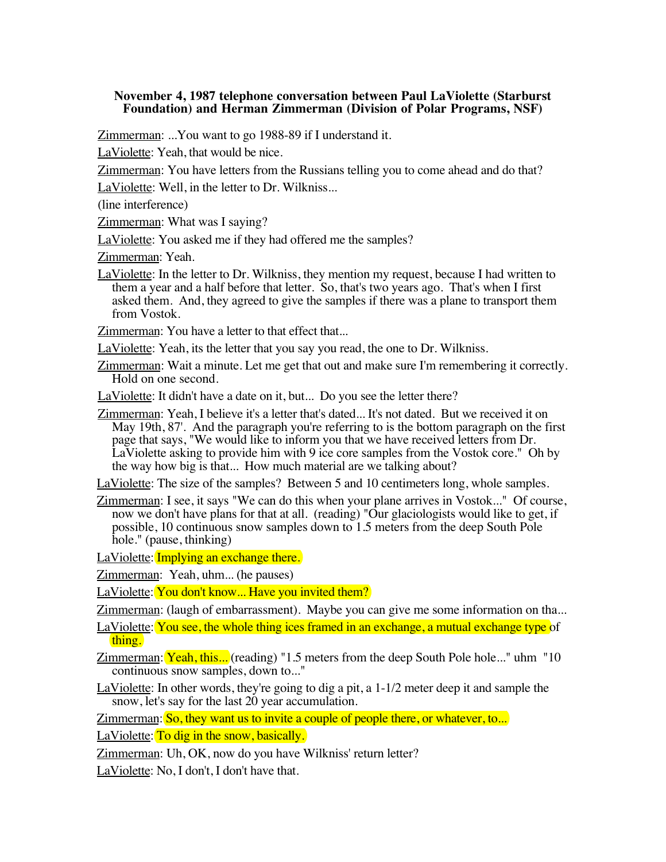## **November 4, 1987 telephone conversation between Paul LaViolette (Starburst Foundation) and Herman Zimmerman (Division of Polar Programs, NSF)**

Zimmerman: ...You want to go 1988-89 if I understand it.

LaViolette: Yeah, that would be nice.

Zimmerman: You have letters from the Russians telling you to come ahead and do that?

LaViolette: Well, in the letter to Dr. Wilkniss...

(line interference)

Zimmerman: What was I saying?

LaViolette: You asked me if they had offered me the samples?

Zimmerman: Yeah.

LaViolette: In the letter to Dr. Wilkniss, they mention my request, because I had written to them a year and a half before that letter. So, that's two years ago. That's when I first asked them. And, they agreed to give the samples if there was a plane to transport them from Vostok.

Zimmerman: You have a letter to that effect that...

LaViolette: Yeah, its the letter that you say you read, the one to Dr. Wilkniss.

Zimmerman: Wait a minute. Let me get that out and make sure I'm remembering it correctly. Hold on one second.

LaViolette: It didn't have a date on it, but... Do you see the letter there?

Zimmerman: Yeah, I believe it's a letter that's dated... It's not dated. But we received it on May 19th, 87'. And the paragraph you're referring to is the bottom paragraph on the first page that says, "We would like to inform you that we have received letters from Dr. LaViolette asking to provide him with 9 ice core samples from the Vostok core." Oh by the way how big is that... How much material are we talking about?

LaViolette: The size of the samples? Between 5 and 10 centimeters long, whole samples.

Zimmerman: I see, it says "We can do this when your plane arrives in Vostok..." Of course, now we don't have plans for that at all. (reading) "Our glaciologists would like to get, if possible, 10 continuous snow samples down to 1.5 meters from the deep South Pole hole." (pause, thinking)

LaViolette: Implying an exchange there.

Zimmerman: Yeah, uhm... (he pauses)

LaViolette: You don't know. Have you invited them?

Zimmerman: (laugh of embarrassment). Maybe you can give me some information on tha...

LaViolette: You see, the whole thing ices framed in an exchange, a mutual exchange type of thing.

- $Zimmerman:  $Yeah$ , this. (reading) "1.5 meters from the deep South Pole hole..." uhm "10"$ continuous snow samples, down to..."
- LaViolette: In other words, they're going to dig a pit, a 1-1/2 meter deep it and sample the snow, let's say for the last 20 year accumulation.

 $Z$ *immerman:* So, they want us to invite a couple of people there, or whatever, to.

LaViolette: To dig in the snow, basically.

Zimmerman: Uh, OK, now do you have Wilkniss' return letter?

LaViolette: No, I don't, I don't have that.